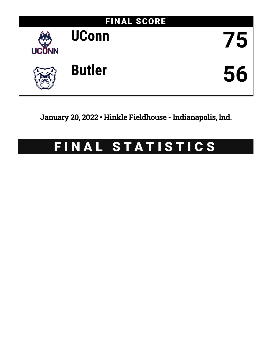

January 20, 2022 • Hinkle Fieldhouse - Indianapolis, Ind.

# FINAL STATISTICS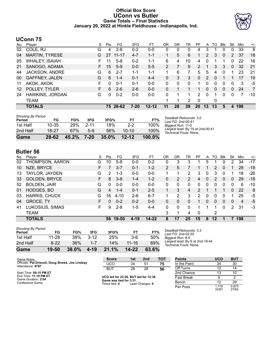### **Official Box Score UConn vs Butler Game Totals -- Final Statistics January 20, 2022 at Hinkle Fieldhouse - Indianapolis, Ind.**



# **UConn 75**

| No.               | Player                | S  | <b>Pts</b> | FG       | 3FG      | FT        | 0R | DR | <b>TR</b> | PF        | A        | TO | <b>B</b> lk  | Stl          | Min | $+/-$          |
|-------------------|-----------------------|----|------------|----------|----------|-----------|----|----|-----------|-----------|----------|----|--------------|--------------|-----|----------------|
| 02                | COLE, RJ              | G  | 4          | $2 - 8$  | $0 - 2$  | $0 - 0$   | 0  | 0  | 0         | 4         | 3        |    | 0            | 0            | 33  | 8              |
| 04                | <b>MARTIN, TYRESE</b> | G  | 27         | 11-17    | $4 - 7$  | $1 - 1$   |    | 5  | 6         |           | 2        | 3  | $\mathbf{0}$ | 2            | 37  | 18             |
| 05                | <b>WHALEY, ISAIAH</b> |    | 11         | $5-8$    | $0 - 2$  | $1 - 1$   | 6  | 4  | 10        | 4         | 0        |    |              | 0            | 22  | 16             |
| 21                | SANOGO, ADAMA         | F. | 15         | $5-9$    | $0 - 0$  | $5 - 5$   | 2  |    | 9         | 2         |          | 3  | 3            | $\mathbf{0}$ | 32  | 21             |
| 44                | JACKSON, ANDRE        | G  | 6          | $2 - 7$  | $1 - 1$  | $1 - 1$   |    | 6  | 7         | 5.        | 5        | 4  | $\Omega$     | 1            | 23  | -21            |
| 00                | <b>GAFFNEY, JALEN</b> | G  | 6          | $1 - 4$  | $0 - 1$  | $4 - 4$   | 0  | 3  | 3         | $\Omega$  | 2        | 0  |              |              | 17  | 19             |
| 11                | AKOK, AKOK            | F  | $\Omega$   | $0 - 1$  | $0 - 1$  | $0 - 0$   | 0  | 0  | 0         |           | 0        | 0  | $\Omega$     | 0            | 3   | -5             |
| $12 \overline{ }$ | POLLEY, TYLER         | F. | 6          | $2-6$    | $2-6$    | $0 - 0$   | 0  |    |           |           | $\Omega$ | 0  | $\mathbf{0}$ | $\mathbf{0}$ | 24  | $\overline{7}$ |
| 24                | HAWKINS, JORDAN       | G  | 0          | $0 - 2$  | $0 - 0$  | $0 - 0$   | 0  |    |           | 2         | $\Omega$ |    | 0            | 0            | 7   | $-10$          |
|                   | TEAM                  |    |            |          |          |           |    | 1  | 2         | 0         |          | 0  |              |              |     |                |
|                   | <b>TOTALS</b>         |    |            | 75 28-62 | $7 - 20$ | $12 - 12$ | 11 | 28 | 39        | <b>20</b> | 13       | 13 | 5            | 4            | 198 |                |

| Game                                | 28-62     | 45.2% | 7-20     | $35.0\%$ | $12 - 12$ | $100.0\%$ |
|-------------------------------------|-----------|-------|----------|----------|-----------|-----------|
| 2nd Half                            | 18-27     | 67%   | $5-9$    | 56%      | $10 - 10$ | 100%      |
| 1st Half                            | $10 - 35$ | 29%   | $2 - 11$ | 18%      | $2-2$     | 100%      |
| <b>Shooting By Period</b><br>Period | FG        | FG%   | 3FG      | 3FG%     | FТ        | FT%       |

*Deadball Rebounds:* 3,0 *Last FG:* 2nd-00:41 *Biggest Run:* 11-0 *Largest lead:* By 19 at 2nd-00:41 *Technical Fouls:* None.

# **Butler 56**

| No. | Player               | S  | Pts      | FG      | 3FG      | FТ        | OR             | DR       | TR       | PF       | A | TO             | Blk          | Stl      | Min | $+/-$ |
|-----|----------------------|----|----------|---------|----------|-----------|----------------|----------|----------|----------|---|----------------|--------------|----------|-----|-------|
| 02  | THOMPSON, AARON      | G  | 10       | $5 - 8$ | $0-0$    | $0 - 2$   | 0              | 3        | 3        |          | 5 |                |              | 2        | 34  | $-17$ |
| 10  | NZE, BRYCE           | F  |          | $3 - 7$ | 0-1      | $1 - 2$   | $\overline{2}$ | 5        |          |          |   | $\overline{2}$ | 0            |          | 28  | $-19$ |
| 13  | TAYLOR, JAYDEN       | G  | 2        | $1 - 3$ | $0 - 0$  | $0 - 0$   |                |          | 2        | 3        | 0 | 3              | 0            |          | 18  | $-26$ |
| 33  | <b>GOLDEN, BRYCE</b> | F  | 8        | $3 - 8$ | 1-4      | $1 - 2$   | 0              | 2        | 2        | 4        | 0 | 2              | $\mathbf{0}$ | $\Omega$ | 29  | $-18$ |
| 52  | <b>BOLDEN, JAIR</b>  | G  | $\Omega$ | $0 - 0$ | $0 - 0$  | $0 - 0$   | 0              | $\Omega$ | $\Omega$ | 0        | 0 | 0              | 0            | 0        | 6   | $-10$ |
| 01  | HODGES, BO           | G  | 4        | 1-4     | $0 - 1$  | $2 - 5$   |                | 3        | 4        | 2        |   |                |              | $\Omega$ | 22  | 8     |
| 03  | <b>HARRIS, CHUCK</b> | G  | 16       | 4-10    | $2-6$    | $6 - 7$   |                | 2        | 3        | 2        | 0 | 0              | 0            |          | 25  | -5    |
| 04  | <b>GROCE, TY</b>     | F. | 0        | $0 - 2$ | $0 - 2$  | $0 - 0$   | 0              | 0        | 0        |          | 0 | 0              | 0            | 0        | 4   | -5    |
| 41  | LUKOSIUS, SIMAS      | F. | 9        | $2 - 8$ | $1-5$    | $4 - 4$   | 0              | 0        | $\Omega$ |          |   |                | 0            | 2        | 31  | $-3$  |
|     | <b>TEAM</b>          |    |          |         |          |           | 3              |          | 4        | $\Omega$ |   | 2              |              |          |     |       |
|     | <b>TOTALS</b>        |    | 56       | 19-50   | $4 - 19$ | $14 - 22$ | 8              | 17       | 25       | 15       | 8 | 12             |              |          | 198 |       |

| Game                                | 19-50     | 38.0% | 4-19    | 21.1% | $14 - 22$ | 63.6% |
|-------------------------------------|-----------|-------|---------|-------|-----------|-------|
| 2nd Half                            | $8-22$    | 36%   | $1 - 7$ | 14%   | $11 - 16$ | 69%   |
| 1st Half                            | $11 - 28$ | 39%   | $3-12$  | 25%   | $3-6$     | 50%   |
| <b>Shooting By Period</b><br>Period | FG        | FG%   | 3FG     | 3FG%  | FТ        | FT%   |

*Deadball Rebounds:* 3,3 *Last FG:* 2nd-02:20 *Biggest Run:* 8-0 *Largest lead:* By 6 at 2nd-19:44 *Technical Fouls:* None.

| Game Notes:                                      | <b>Score</b>                             | 1st | 2nd             | тот | <b>Points</b>     | <b>UCO</b>     | <b>BUT</b>     |
|--------------------------------------------------|------------------------------------------|-----|-----------------|-----|-------------------|----------------|----------------|
| Officials: Pat Driscoll, Doug Shows, Joe Lindsay | UCO                                      | 24  | 51              | 75  | In the Paint      | 34             | 30             |
| Attendance: 6797                                 | <b>BUT</b>                               | 28  | 28              | 56  | Off Turns         | 12             | 14             |
| Start Time: 09:15 PM ET                          |                                          |     |                 |     | 2nd Chance        | 13             | 10             |
| End Time: 11:19 PM ET<br>Game Duration: 2:04     | UCO led for 23:26. BUT led for 12:38.    |     |                 |     | <b>Fast Break</b> | 9              |                |
| Conference Game:                                 | Game was tied for 3:31.<br>Times tied: 4 |     | Lead Changes: 6 |     | Bench             |                | 29             |
|                                                  |                                          |     |                 |     | Per Poss          | 1.119<br>33/67 | 0.875<br>27/64 |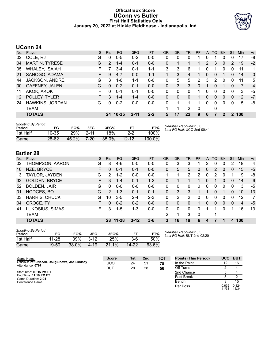#### **Official Box Score UConn vs Butler First Half Statistics Only January 20, 2022 at Hinkle Fieldhouse - Indianapolis, Ind.**



# **UConn 24**

| No. | Player                | S  | <b>Pts</b>    | <b>FG</b> | 3FG      | <b>FT</b> | <b>OR</b> | <b>DR</b> | TR | <b>PF</b>    | A        | TO | <b>B</b> lk    | Stl      | Min   | $+/-$          |
|-----|-----------------------|----|---------------|-----------|----------|-----------|-----------|-----------|----|--------------|----------|----|----------------|----------|-------|----------------|
| 02  | COLE, RJ              | G  | 0             | $0 - 5$   | $0 - 2$  | $0 - 0$   | 0         | 0         | 0  |              | 0        |    | 0              | 0        | 17    | -8             |
| 04  | <b>MARTIN, TYRESE</b> | G  | $\mathcal{P}$ | $1 - 4$   | $0 - 1$  | $0 - 0$   | $\Omega$  |           |    |              | 2        | 3  | $\mathbf{0}$   | 2        | 19    | $-2$           |
| 05  | <b>WHALEY, ISAIAH</b> | F  |               | $3 - 4$   | $0 - 1$  | $1 - 1$   | 3         | 3         | 6  |              | $\Omega$ |    | 0              | 0        | 11    | 1              |
| 21  | SANOGO, ADAMA         | F. | 9             | $4 - 7$   | $0 - 0$  | $1 - 1$   | 1         | 3         | 4  |              | $\Omega$ | 0  |                | 0        | 14    | $\mathbf{0}$   |
| 44  | <b>JACKSON, ANDRE</b> | G  | 3.            | 1-6       | 1-1      | $0-0$     | 0         | 5         | 5  | $\mathbf{2}$ | 3        | 2  | 0              | 0        | 11    | 5              |
| 00  | <b>GAFFNEY, JALEN</b> | G  | 0             | $0 - 2$   | $0 - 1$  | $0 - 0$   | 0         | 3         | 3  | 0            |          | 0  |                | 0        | 7     | $\overline{4}$ |
| 11  | AKOK, AKOK            | F. | 0             | $0 - 1$   | $0 - 1$  | $0-0$     | 0         | 0         | 0  |              | 0        | 0  | 0              | 0        | 3     | -5             |
| 12  | POLLEY, TYLER         | F. | 3             | $1 - 4$   | 1-4      | $0-0$     | 0         | 0         | 0  |              | 0        | 0  | $\overline{0}$ | 0        | 12    | $-7$           |
| 24  | HAWKINS, JORDAN       | G  | 0             | $0 - 2$   | $0-0$    | $0 - 0$   | $\Omega$  |           |    |              | 0        | 0  | 0              | $\Omega$ | 5     | -8             |
|     | TEAM                  |    |               |           |          |           |           |           | 2  | $\Omega$     |          | 0  |                |          |       |                |
|     | <b>TOTALS</b>         |    | 24            | $10 - 35$ | $2 - 11$ | $2 - 2$   | 5         | 17        | 22 | 9            | 6        | 7  | 2              |          | 2 100 |                |

| <b>Shooting By Period</b><br>Period | FG        | FG%   | 3FG      | 3FG%     |           | FT%    | Deadball Rebounds: 3,0<br>Last FG Half: UCO 2nd-00:41 |
|-------------------------------------|-----------|-------|----------|----------|-----------|--------|-------------------------------------------------------|
| 1st Half                            | $10 - 35$ | 29%   | $2 - 11$ | 18%      | $2-2$     | 100%   |                                                       |
| Game                                | $28 - 62$ | 45.2% | 7-20     | $35.0\%$ | $12 - 12$ | 100.0% |                                                       |

# **Butler 28**

| No. | Plaver               | S  | <b>Pts</b>    | FG        | 3FG      | <b>FT</b> | <b>OR</b> | <b>DR</b> | TR | PF       | A | TO | <b>B</b> lk | Stl      | Min | $+/-$ |
|-----|----------------------|----|---------------|-----------|----------|-----------|-----------|-----------|----|----------|---|----|-------------|----------|-----|-------|
| 02  | THOMPSON, AARON      | G  | 8             | $4-6$     | $0 - 0$  | $0 - 0$   | 0         | 3         | 3  |          | 2 | 0  | 0           | 2        | 18  | 4     |
| 10  | NZE, BRYCE           | F  | 0             | $0 - 1$   | $0 - 1$  | $0 - 0$   | 0         | 5         | 5  | 0        | 0 | 2  | 0           | 0        | 15  | $-5$  |
| 13  | TAYLOR, JAYDEN       | G  | $\mathcal{P}$ | 1-2       | $0 - 0$  | $0 - 0$   | 1         |           | 2  | 2        | 0 | 2  | 0           |          | 9   | -8    |
| 33  | <b>GOLDEN, BRYCE</b> | F. | 3.            | 1-4       | $0 - 1$  | $1 - 2$   | 0         |           |    |          | 0 |    | 0           | $\Omega$ | 14  | 6     |
| 52  | <b>BOLDEN, JAIR</b>  | G  | 0             | $0-0$     | $0 - 0$  | $0-0$     | 0         | 0         | 0  | 0        | 0 | 0  | 0           | 0        | 3   | -5    |
| 01  | HODGES, BO           | G  | $\mathcal{P}$ | $1 - 3$   | $0 - 1$  | $0 - 1$   | 0         | 3         | 3  |          |   | 0  |             | 0        | 10  | 13    |
| 03  | <b>HARRIS, CHUCK</b> | G  | 10            | $3 - 5$   | $2 - 4$  | $2 - 3$   | 0         | 2         | 2  | 0        | 0 | 0  | 0           | 0        | 12  | 7     |
| 04  | <b>GROCE, TY</b>     | F  | 0             | $0 - 2$   | $0 - 2$  | $0 - 0$   | 0         | 0         | 0  |          | 0 | 0  | 0           | $\Omega$ | 4   | -5    |
| 41  | LUKOSIUS, SIMAS      | F  | 3             | $1 - 5$   | 1-3      | $0 - 0$   | 0         | 0         | 0  | U        | 1 | 1  | 0           |          | 16  | 13    |
|     | <b>TEAM</b>          |    |               |           |          |           | 2         |           | 3  | $\Omega$ |   | и  |             |          |     |       |
|     | <b>TOTALS</b>        |    | 28            | $11 - 28$ | $3 - 12$ | 3-6       | 3         | 16        | 19 | 6        | 4 |    |             | 4        | 100 |       |

| <b>Shooting By Period</b><br>Period | FG        | FG%   | 3FG      | 3FG%     | FT    | FT%   |
|-------------------------------------|-----------|-------|----------|----------|-------|-------|
| 1st Half                            | 11-28     | 39%   | $3 - 12$ | 25%      | $3-6$ | 50%   |
| Game                                | $19 - 50$ | 38.0% | 4-19     | $21.1\%$ | 14-22 | 63.6% |

*Deadball Rebounds:* 3,3 *Last FG Half:* BUT 2nd-02:20

| Game Notes:                                                          | <b>Score</b> | 1st | 2 <sub>nd</sub> | TOT | <b>Points (This Period)</b> | <b>UCO</b>     | <b>BUT</b>     |
|----------------------------------------------------------------------|--------------|-----|-----------------|-----|-----------------------------|----------------|----------------|
| Officials: Pat Driscoll, Doug Shows, Joe Lindsay<br>Attendance: 6797 | UCO          | 24  | 51              | 75  | In the Paint                |                | 16             |
|                                                                      | <b>BUT</b>   | 28  | 28              | 56  | Off Turns                   |                |                |
| Start Time: 09:15 PM ET                                              |              |     |                 |     | 2nd Chance                  |                |                |
| End Time: 11:19 PM ET<br>Game Duration: 2:04                         |              |     |                 |     | <b>Fast Break</b>           |                |                |
| Conference Game:                                                     |              |     |                 |     | Bench                       |                | 15             |
|                                                                      |              |     |                 |     | Per Poss                    | 0.632<br>11/38 | 0.824<br>13/34 |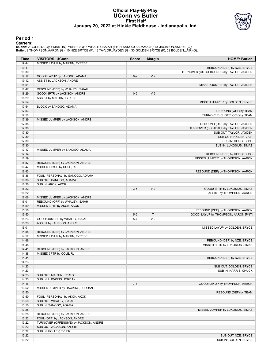#### **Official Play-By-Play UConn vs Butler First Half January 20, 2022 at Hinkle Fieldhouse - Indianapolis, Ind.**



#### **Period 1**

<mark>Startersː</mark><br>UConn: 2 COLE,RJ (G); 4 MARTIN,TYRESE (G); 5 WHALEY,ISAIAH (F); 21 SANOGO,ADAMA (F); 44 JACKSON,ANDRE (G);<br>Butler: 2 THOMPSON,AARON (G); 10 NZE,BRYCE (F); 13 TAYLOR,JAYDEN (G); 33 GOLDEN,BRYCE (F); 52 BOLDEN,JA

| Time           | <b>VISITORS: UConn</b>                 | <b>Score</b> | <b>Margin</b>  | <b>HOME: Butler</b>                      |
|----------------|----------------------------------------|--------------|----------------|------------------------------------------|
| 19:44          | MISSED LAYUP by MARTIN, TYRESE         |              |                |                                          |
| 19:41          |                                        |              |                | REBOUND (DEF) by NZE, BRYCE              |
| 19:30          |                                        |              |                | TURNOVER (OUTOFBOUNDS) by TAYLOR, JAYDEN |
| 19:12          | GOOD! LAYUP by SANOGO, ADAMA           | $0 - 2$      | V <sub>2</sub> |                                          |
| 19:12          | ASSIST by JACKSON, ANDRE               |              |                |                                          |
| 18:51          |                                        |              |                | MISSED JUMPER by TAYLOR, JAYDEN          |
| 18:47          | REBOUND (DEF) by WHALEY, ISAIAH        |              |                |                                          |
| 18:29          | GOOD! 3PTR by JACKSON, ANDRE           | $0 - 5$      | V <sub>5</sub> |                                          |
| 18:29          | ASSIST by MARTIN, TYRESE               |              |                |                                          |
| 17:54          |                                        |              |                | MISSED JUMPER by GOLDEN, BRYCE           |
| 17:54          | BLOCK by SANOGO, ADAMA                 |              |                |                                          |
| 17:53          |                                        |              |                | REBOUND (OFF) by TEAM                    |
| 17:52          |                                        |              |                | TURNOVER (SHOTCLOCK) by TEAM             |
| 17:39          | MISSED JUMPER by JACKSON, ANDRE        |              |                |                                          |
| 17:35          |                                        |              |                | REBOUND (DEF) by TAYLOR, JAYDEN          |
| 17:30          |                                        |              |                | TURNOVER (LOSTBALL) by TAYLOR, JAYDEN    |
| 17:30          |                                        |              |                | SUB OUT: TAYLOR, JAYDEN                  |
| 17:30<br>17:30 |                                        |              |                | SUB OUT: BOLDEN, JAIR                    |
| 17:30          |                                        |              |                | SUB IN: HODGES, BO                       |
| 17:17          | MISSED JUMPER by SANOGO, ADAMA         |              |                | SUB IN: LUKOSIUS, SIMAS                  |
| 17:14          |                                        |              |                | REBOUND (DEF) by HODGES, BO              |
| 16:59          |                                        |              |                | MISSED JUMPER by THOMPSON, AARON         |
| 16:57          | REBOUND (DEF) by JACKSON, ANDRE        |              |                |                                          |
| 16:47          | MISSED LAYUP by COLE, RJ               |              |                |                                          |
| 16:43          |                                        |              |                | REBOUND (DEF) by THOMPSON, AARON         |
| 16:36          | FOUL (PERSONAL) by SANOGO, ADAMA       |              |                |                                          |
| 16:36          | SUB OUT: SANOGO, ADAMA                 |              |                |                                          |
| 16:36          | SUB IN: AKOK, AKOK                     |              |                |                                          |
| 16:22          |                                        | $3-5$        | V <sub>2</sub> | GOOD! 3PTR by LUKOSIUS, SIMAS            |
| 16:22          |                                        |              |                | ASSIST by THOMPSON, AARON                |
| 16:06          | MISSED JUMPER by JACKSON, ANDRE        |              |                |                                          |
| 16:01          | REBOUND (OFF) by WHALEY, ISAIAH        |              |                |                                          |
| 15:59          | MISSED 3PTR by AKOK, AKOK              |              |                |                                          |
| 15:56          |                                        |              |                | REBOUND (DEF) by THOMPSON, AARON         |
| 15:50          |                                        | $5-5$        | $\top$         | GOOD! LAYUP by THOMPSON, AARON [PNT]     |
| 15:23          | GOOD! JUMPER by WHALEY, ISAIAH         | $5 - 7$      | V <sub>2</sub> |                                          |
| 15:23          | ASSIST by JACKSON, ANDRE               |              |                |                                          |
| 15:01          |                                        |              |                | MISSED LAYUP by GOLDEN, BRYCE            |
| 14:58          | REBOUND (DEF) by JACKSON, ANDRE        |              |                |                                          |
| 14:52          | MISSED LAYUP by MARTIN, TYRESE         |              |                |                                          |
| 14:46          |                                        |              |                | REBOUND (DEF) by NZE, BRYCE              |
| 14:45          |                                        |              |                | MISSED 3PTR by LUKOSIUS, SIMAS           |
| 14:41          | REBOUND (DEF) by JACKSON, ANDRE        |              |                |                                          |
| 14:38          | MISSED 3PTR by COLE, RJ                |              |                |                                          |
| 14:34          |                                        |              |                | REBOUND (DEF) by NZE, BRYCE              |
| 14:23          |                                        |              |                |                                          |
| 14:23          |                                        |              |                | SUB OUT: GOLDEN, BRYCE                   |
| 14:23          |                                        |              |                | SUB IN: HARRIS, CHUCK                    |
| 14:23          | SUB OUT: MARTIN, TYRESE                |              |                |                                          |
| 14:23          | SUB IN: HAWKINS, JORDAN                |              |                |                                          |
| 14:16          |                                        | $7 - 7$      | $\mathsf T$    | GOOD! LAYUP by THOMPSON, AARON           |
| 13:52          | MISSED JUMPER by HAWKINS, JORDAN       |              |                |                                          |
| 13:50          |                                        |              |                | REBOUND (DEF) by TEAM                    |
| 13:50          | FOUL (PERSONAL) by AKOK, AKOK          |              |                |                                          |
| 13:50          | SUB OUT: WHALEY, ISAIAH                |              |                |                                          |
| 13:50          | SUB IN: SANOGO, ADAMA                  |              |                |                                          |
| 13:28          |                                        |              |                | MISSED JUMPER by LUKOSIUS, SIMAS         |
| 13:25          | REBOUND (DEF) by JACKSON, ANDRE        |              |                |                                          |
| 13:22          | FOUL (OFF) by JACKSON, ANDRE           |              |                |                                          |
| 13:22          | TURNOVER (OFFENSIVE) by JACKSON, ANDRE |              |                |                                          |
| 13:22          | SUB OUT: JACKSON, ANDRE                |              |                |                                          |
| 13:22          | SUB IN: POLLEY, TYLER                  |              |                |                                          |
| 13:22          |                                        |              |                | SUB OUT: NZE, BRYCE                      |
| 13:22          |                                        |              |                | SUB IN: GOLDEN, BRYCE                    |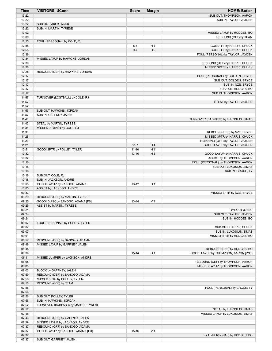| <b>Time</b>    | <b>VISITORS: UConn</b>                                          | <b>Score</b> | <b>Margin</b>  | <b>HOME: Butler</b>                                                 |
|----------------|-----------------------------------------------------------------|--------------|----------------|---------------------------------------------------------------------|
| 13:22          |                                                                 |              |                | SUB OUT: THOMPSON, AARON                                            |
| 13:22          |                                                                 |              |                | SUB IN: TAYLOR, JAYDEN                                              |
| 13:22          | SUB OUT: AKOK, AKOK                                             |              |                |                                                                     |
| 13:22<br>13:02 | SUB IN: MARTIN, TYRESE                                          |              |                | MISSED LAYUP by HODGES, BO                                          |
| 13:00          |                                                                 |              |                | REBOUND (OFF) by TEAM                                               |
| 12:55          | FOUL (PERSONAL) by COLE, RJ                                     |              |                |                                                                     |
| 12:55          |                                                                 | $8 - 7$      | H <sub>1</sub> | GOOD! FT by HARRIS, CHUCK                                           |
| 12:55          |                                                                 | $9 - 7$      | H <sub>2</sub> | GOOD! FT by HARRIS, CHUCK                                           |
| 12:39          |                                                                 |              |                | FOUL (PERSONAL) by TAYLOR, JAYDEN                                   |
| 12:34          | MISSED LAYUP by HAWKINS, JORDAN                                 |              |                |                                                                     |
| 12:30<br>12:28 |                                                                 |              |                | REBOUND (DEF) by HARRIS, CHUCK<br>MISSED 3PTR by HARRIS, CHUCK      |
| 12:25          | REBOUND (DEF) by HAWKINS, JORDAN                                |              |                |                                                                     |
| 12:17          |                                                                 |              |                | FOUL (PERSONAL) by GOLDEN, BRYCE                                    |
| 12:17          |                                                                 |              |                | SUB OUT: GOLDEN, BRYCE                                              |
| 12:17          |                                                                 |              |                | SUB IN: NZE, BRYCE                                                  |
| 12:17          |                                                                 |              |                | SUB OUT: HODGES, BO                                                 |
| 12:17          |                                                                 |              |                | SUB IN: THOMPSON, AARON                                             |
| 11:57<br>11:57 | TURNOVER (LOSTBALL) by COLE, RJ                                 |              |                |                                                                     |
| 11:57          |                                                                 |              |                | STEAL by TAYLOR, JAYDEN                                             |
| 11:57          | SUB OUT: HAWKINS, JORDAN                                        |              |                |                                                                     |
| 11:57          | SUB IN: GAFFNEY, JALEN                                          |              |                |                                                                     |
| 11:40          |                                                                 |              |                | TURNOVER (BADPASS) by LUKOSIUS, SIMAS                               |
| 11:40          | STEAL by MARTIN, TYRESE                                         |              |                |                                                                     |
| 11:35          | MISSED JUMPER by COLE, RJ                                       |              |                |                                                                     |
| 11:30          |                                                                 |              |                | REBOUND (DEF) by NZE, BRYCE                                         |
| 11:28          |                                                                 |              |                | MISSED 3PTR by HARRIS, CHUCK                                        |
| 11:23<br>11:21 |                                                                 | $11 - 7$     | H4             | REBOUND (OFF) by TAYLOR, JAYDEN<br>GOOD! LAYUP by TAYLOR, JAYDEN    |
| 10:51          | GOOD! 3PTR by POLLEY, TYLER                                     | $11 - 10$    | H <sub>1</sub> |                                                                     |
| 10:32          |                                                                 | $13 - 10$    | $H_3$          | GOOD! LAYUP by HARRIS, CHUCK                                        |
| 10:32          |                                                                 |              |                | ASSIST by THOMPSON, AARON                                           |
| 10:18          |                                                                 |              |                | FOUL (PERSONAL) by THOMPSON, AARON                                  |
| 10:18          |                                                                 |              |                | SUB OUT: LUKOSIUS, SIMAS                                            |
| 10:18          |                                                                 |              |                | SUB IN: GROCE, TY                                                   |
| 10:18          | SUB OUT: COLE, RJ                                               |              |                |                                                                     |
| 10:18<br>10:05 | SUB IN: JACKSON, ANDRE<br>GOOD! LAYUP by SANOGO, ADAMA          | $13 - 12$    | H <sub>1</sub> |                                                                     |
| 10:05          | ASSIST by JACKSON, ANDRE                                        |              |                |                                                                     |
| 09:33          |                                                                 |              |                | MISSED 3PTR by NZE, BRYCE                                           |
| 09:29          | REBOUND (DEF) by MARTIN, TYRESE                                 |              |                |                                                                     |
| 09:25          | GOOD! DUNK by SANOGO, ADAMA [FB]                                | $13 - 14$    | V <sub>1</sub> |                                                                     |
| 09:25          | ASSIST by MARTIN, TYRESE                                        |              |                |                                                                     |
| 09:24          |                                                                 |              |                | TIMEOUT 30SEC                                                       |
| 09:24          |                                                                 |              |                | SUB OUT: TAYLOR, JAYDEN                                             |
| 09:24<br>09:07 | FOUL (PERSONAL) by POLLEY, TYLER                                |              |                | SUB IN: HODGES, BO                                                  |
| 09:07          |                                                                 |              |                | SUB OUT: HARRIS, CHUCK                                              |
| 09:07          |                                                                 |              |                | SUB IN: LUKOSIUS, SIMAS                                             |
| 09:01          |                                                                 |              |                | MISSED 3PTR by HODGES, BO                                           |
| 08:57          | REBOUND (DEF) by SANOGO, ADAMA                                  |              |                |                                                                     |
| 08:49          | MISSED LAYUP by GAFFNEY, JALEN                                  |              |                |                                                                     |
| 08:45          |                                                                 |              |                | REBOUND (DEF) by HODGES, BO                                         |
| 08:38          |                                                                 | $15 - 14$    | H <sub>1</sub> | GOOD! LAYUP by THOMPSON, AARON [PNT]                                |
| 08:11          | MISSED JUMPER by JACKSON, ANDRE                                 |              |                |                                                                     |
| 08:08<br>08:03 |                                                                 |              |                | REBOUND (DEF) by THOMPSON, AARON<br>MISSED LAYUP by THOMPSON, AARON |
| 08:03          | BLOCK by GAFFNEY, JALEN                                         |              |                |                                                                     |
| 07:59          | REBOUND (DEF) by SANOGO, ADAMA                                  |              |                |                                                                     |
| 07:58          | MISSED 3PTR by POLLEY, TYLER                                    |              |                |                                                                     |
| 07:56          | REBOUND (OFF) by TEAM                                           |              |                |                                                                     |
| 07:56          |                                                                 |              |                | FOUL (PERSONAL) by GROCE, TY                                        |
| 07:56          |                                                                 |              |                |                                                                     |
| 07:56          | SUB OUT: POLLEY, TYLER                                          |              |                |                                                                     |
| 07:56<br>07:52 | SUB IN: HAWKINS, JORDAN<br>TURNOVER (BADPASS) by MARTIN, TYRESE |              |                |                                                                     |
| 07:52          |                                                                 |              |                | STEAL by LUKOSIUS, SIMAS                                            |
| 07:45          |                                                                 |              |                | MISSED LAYUP by LUKOSIUS, SIMAS                                     |
| 07:43          | REBOUND (DEF) by GAFFNEY, JALEN                                 |              |                |                                                                     |
| 07:39          | MISSED LAYUP by JACKSON, ANDRE                                  |              |                |                                                                     |
| 07:37          | REBOUND (OFF) by SANOGO, ADAMA                                  |              |                |                                                                     |
| 07:37          | GOOD! LAYUP by SANOGO, ADAMA [FB]                               | $15 - 16$    | V <sub>1</sub> |                                                                     |
| 07:37          |                                                                 |              |                | FOUL (PERSONAL) by HODGES, BO                                       |
| 07:37          | SUB OUT: GAFFNEY, JALEN                                         |              |                |                                                                     |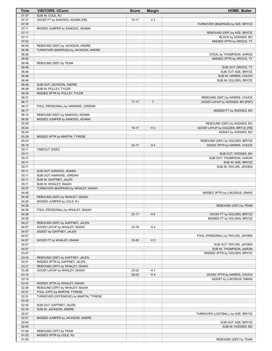| Time           | <b>VISITORS: UConn</b>                                           | <b>Score</b>     | <b>Margin</b>        | <b>HOME: Butler</b>                                       |
|----------------|------------------------------------------------------------------|------------------|----------------------|-----------------------------------------------------------|
| 07:37          | SUB IN: COLE, RJ                                                 |                  |                      |                                                           |
| 07:37          | GOOD! FT by SANOGO, ADAMA [FB]                                   | $15 - 17$        | V <sub>2</sub>       |                                                           |
| 07:25          |                                                                  |                  |                      | TURNOVER (BADPASS) by NZE, BRYCE                          |
| 07:11<br>07:11 | MISSED JUMPER by SANOGO, ADAMA                                   |                  |                      |                                                           |
| 07:11          |                                                                  |                  |                      | REBOUND (DEF) by NZE, BRYCE<br>BLOCK by HODGES, BO        |
| 07:03          |                                                                  |                  |                      | MISSED 3PTR by GROCE, TY                                  |
| 06:59          | REBOUND (DEF) by JACKSON, ANDRE                                  |                  |                      |                                                           |
| 06:56          | TURNOVER (BADPASS) by JACKSON, ANDRE                             |                  |                      |                                                           |
| 06:56          |                                                                  |                  |                      | STEAL by THOMPSON, AARON                                  |
| 06:50          |                                                                  |                  |                      | MISSED 3PTR by GROCE, TY                                  |
| 06:48          | REBOUND (DEF) by TEAM                                            |                  |                      |                                                           |
| 06:48          |                                                                  |                  |                      | SUB OUT: GROCE, TY                                        |
| 06:48          |                                                                  |                  |                      | SUB OUT: NZE, BRYCE                                       |
| 06:48          |                                                                  |                  |                      | SUB IN: HARRIS, CHUCK                                     |
| 06:48<br>06:48 | SUB OUT: JACKSON, ANDRE                                          |                  |                      | SUB IN: GOLDEN, BRYCE                                     |
| 06:48          | SUB IN: POLLEY, TYLER                                            |                  |                      |                                                           |
| 06:35          | MISSED 3PTR by POLLEY, TYLER                                     |                  |                      |                                                           |
| 06:31          |                                                                  |                  |                      | REBOUND (DEF) by HARRIS, CHUCK                            |
| 06:17          |                                                                  | $17 - 17$        | T                    | GOOD! LAYUP by HODGES, BO [PNT]                           |
| 06:17          | FOUL (PERSONAL) by HAWKINS, JORDAN                               |                  |                      |                                                           |
| 06:17          |                                                                  |                  |                      | MISSED FT by HODGES, BO                                   |
| 06:15          | REBOUND (DEF) by SANOGO, ADAMA                                   |                  |                      |                                                           |
| 06:00          | MISSED JUMPER by SANOGO, ADAMA                                   |                  |                      |                                                           |
| 05:56          |                                                                  |                  |                      | REBOUND (DEF) by HODGES, BO                               |
| 05:54<br>05:54 |                                                                  | 19-17            | H <sub>2</sub>       | GOOD! LAYUP by GOLDEN, BRYCE [FB]<br>ASSIST by HODGES, BO |
| 05:28          | MISSED 3PTR by MARTIN, TYRESE                                    |                  |                      |                                                           |
| 05:23          |                                                                  |                  |                      | REBOUND (DEF) by GOLDEN, BRYCE                            |
| 05:19          |                                                                  | $22 - 17$        | H <sub>5</sub>       | GOOD! 3PTR by HARRIS, CHUCK                               |
| 05:11          | TIMEOUT 30SEC                                                    |                  |                      |                                                           |
| 05:11          |                                                                  |                  |                      | SUB OUT: HODGES, BO                                       |
| 05:11          |                                                                  |                  |                      | SUB OUT: THOMPSON, AARON                                  |
| 05:11          |                                                                  |                  |                      | SUB IN: NZE, BRYCE                                        |
| 05:11          |                                                                  |                  |                      | SUB IN: TAYLOR, JAYDEN                                    |
| 05:11          | SUB OUT: SANOGO, ADAMA                                           |                  |                      |                                                           |
| 05:11<br>05:11 | SUB OUT: HAWKINS, JORDAN<br>SUB IN: GAFFNEY, JALEN               |                  |                      |                                                           |
| 05:11          | SUB IN: WHALEY, ISAIAH                                           |                  |                      |                                                           |
| 04:57          | TURNOVER (BADPASS) by WHALEY, ISAIAH                             |                  |                      |                                                           |
| 04:40          |                                                                  |                  |                      | MISSED 3PTR by LUKOSIUS, SIMAS                            |
| 04:36          | REBOUND (DEF) by WHALEY, ISAIAH                                  |                  |                      |                                                           |
| 04:28          | MISSED JUMPER by COLE, RJ                                        |                  |                      |                                                           |
| 04:28          |                                                                  |                  |                      | REBOUND (DEF) by TEAM                                     |
| 04:28          | FOUL (PERSONAL) by WHALEY, ISAIAH                                |                  |                      |                                                           |
| 04:28          |                                                                  | $23-17$          | H <sub>6</sub>       | GOOD! FT by GOLDEN, BRYCE                                 |
| 04:28          |                                                                  |                  |                      | MISSED FT by GOLDEN, BRYCE                                |
| 04:27<br>04:07 | REBOUND (DEF) by GAFFNEY, JALEN<br>GOOD! LAYUP by WHALEY, ISAIAH | 23-19            | H 4                  |                                                           |
| 04:07          | ASSIST by GAFFNEY, JALEN                                         |                  |                      |                                                           |
| 04:07          |                                                                  |                  |                      | FOUL (PERSONAL) by TAYLOR, JAYDEN                         |
| 04:07          | GOOD! FT by WHALEY, ISAIAH                                       | 23-20            | $H_3$                |                                                           |
| 04:07          |                                                                  |                  |                      | SUB OUT: TAYLOR, JAYDEN                                   |
| 04:07          |                                                                  |                  |                      | SUB IN: THOMPSON, AARON                                   |
| 03:47          |                                                                  |                  |                      | MISSED 3PTR by GOLDEN, BRYCE                              |
| 03:43          | REBOUND (DEF) by GAFFNEY, JALEN                                  |                  |                      |                                                           |
| 03:31          | MISSED 3PTR by GAFFNEY, JALEN                                    |                  |                      |                                                           |
| 03:27          | REBOUND (OFF) by WHALEY, ISAIAH                                  |                  |                      |                                                           |
| 03:26<br>03:10 | GOOD! LAYUP by WHALEY, ISAIAH                                    | 23-22<br>$26-22$ | H <sub>1</sub><br>H4 | GOOD! 3PTR by HARRIS, CHUCK                               |
| 03:10          |                                                                  |                  |                      | ASSIST by LUKOSIUS, SIMAS                                 |
| 02:43          | MISSED 3PTR by WHALEY, ISAIAH                                    |                  |                      |                                                           |
| 02:38          | REBOUND (OFF) by WHALEY, ISAIAH                                  |                  |                      |                                                           |
| 02:31          | FOUL (OFF) by MARTIN, TYRESE                                     |                  |                      |                                                           |
| 02:31          | TURNOVER (OFFENSIVE) by MARTIN, TYRESE                           |                  |                      |                                                           |
| 02:30          |                                                                  |                  |                      |                                                           |
| 02:30          | SUB OUT: GAFFNEY, JALEN                                          |                  |                      |                                                           |
| 02:30          | SUB IN: JACKSON, ANDRE                                           |                  |                      |                                                           |
| 02:07          |                                                                  |                  |                      | TURNOVER (LOSTBALL) by NZE, BRYCE                         |
| 02:01          | MISSED JUMPER by JACKSON, ANDRE                                  |                  |                      |                                                           |
| 02:00<br>02:00 |                                                                  |                  |                      | SUB OUT: NZE, BRYCE                                       |
| 01:58          | REBOUND (OFF) by TEAM                                            |                  |                      | SUB IN: HODGES, BO                                        |
| 01:53          | MISSED 3PTR by COLE, RJ                                          |                  |                      |                                                           |
| 01:50          |                                                                  |                  |                      | REBOUND (DEF) by TEAM                                     |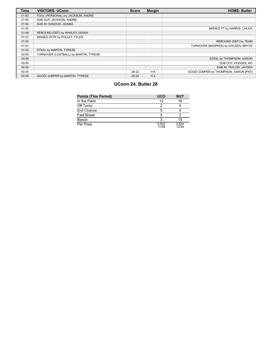| <b>Time</b> | <b>VISITORS: UConn</b>                | <b>Score</b> | <b>Margin</b>  | <b>HOME: Butler</b>                   |
|-------------|---------------------------------------|--------------|----------------|---------------------------------------|
| 01:50       | FOUL (PERSONAL) by JACKSON, ANDRE     |              |                |                                       |
| 01:50       | SUB OUT: JACKSON, ANDRE               |              |                |                                       |
| 01:50       | SUB IN: SANOGO, ADAMA                 |              |                |                                       |
| 01:50       |                                       |              |                | MISSED FT by HARRIS, CHUCK            |
| 01:48       | REBOUND (DEF) by WHALEY, ISAIAH       |              |                |                                       |
| 01:27       | MISSED 3PTR by POLLEY, TYLER          |              |                |                                       |
| 01:25       |                                       |              |                | REBOUND (DEF) by TEAM                 |
| 01:03       |                                       |              |                | TURNOVER (BADPASS) by GOLDEN, BRYCE   |
| 01:03       | STEAL by MARTIN, TYRESE               |              |                |                                       |
| 00:59       | TURNOVER (LOSTBALL) by MARTIN, TYRESE |              |                |                                       |
| 00:59       |                                       |              |                | STEAL by THOMPSON, AARON              |
| 00:59       |                                       |              |                | SUB OUT: HODGES, BO                   |
| 00:59       |                                       |              |                | SUB IN: TAYLOR, JAYDEN                |
| 00:35       |                                       | 28-22        | H <sub>6</sub> | GOOD! JUMPER by THOMPSON, AARON [PNT] |
| 00:06       | GOOD! JUMPER by MARTIN, TYRESE        | 28-24        | H <sub>4</sub> |                                       |

# **UConn 24, Butler 28**

| <b>Points (This Period)</b> | <b>UCO</b>     | <b>BUT</b>     |
|-----------------------------|----------------|----------------|
| In the Paint                | 12             | 16             |
| Off Turns                   | 2              |                |
| 2nd Chance                  | 5              |                |
| <b>Fast Break</b>           | 5              |                |
| Bench                       | 3              | 15             |
| Per Poss                    | 0.632<br>11/38 | 0.824<br>13/34 |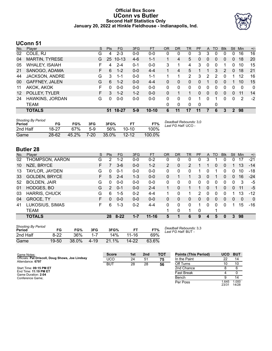### **Official Box Score UConn vs Butler Second Half Statistics Only January 20, 2022 at Hinkle Fieldhouse - Indianapolis, Ind.**



## **UConn 51**

| No.               | Plaver                | S  | <b>Pts</b> | <b>FG</b> | 3FG     | <b>FT</b> | 0R       | DR           | TR | <b>PF</b>   | A        | TO       | <b>B</b> lk  | Stl           | Min            | $+/-$        |
|-------------------|-----------------------|----|------------|-----------|---------|-----------|----------|--------------|----|-------------|----------|----------|--------------|---------------|----------------|--------------|
| 02                | COLE, RJ              | G  | 4          | $2 - 3$   | $0 - 0$ | $0-0$     | 0        | 0            | 0  | 3           | 3        | 0        | 0            | 0             | 16             | 16           |
| 04                | <b>MARTIN, TYRESE</b> | G  | 25         | $10 - 13$ | $4-6$   | $1 - 1$   | 1        | 4            | 5  | $\Omega$    | $\Omega$ | $\Omega$ | $\mathbf{0}$ | $\Omega$      | 18             | 20           |
| 05                | <b>WHALEY, ISAIAH</b> | F  | 4          | $2 - 4$   | $0 - 1$ | $0-0$     | 3        | 1            | 4  | 3           | 0        | $\Omega$ | 1            | 0             | 10             | 15           |
| 21                | SANOGO, ADAMA         | F. | 6          | $1 - 2$   | $0 - 0$ | $4 - 4$   | 1        | 4            | 5  |             |          | 3        | 2            | $\Omega$      | 18             | 21           |
| 44                | JACKSON, ANDRE        | G  | 3          | $1 - 1$   | $0-0$   | $1 - 1$   |          |              | 2  | 3           | 2        | 2        | 0            |               | 12             | 16           |
| 00                | <b>GAFFNEY, JALEN</b> | G  | 6          | $1 - 2$   | $0 - 0$ | $4 - 4$   | 0        | 0            | 0  | 0           |          | 0        | 0            |               | 10             | 15           |
| 11                | AKOK, AKOK            | F  | U          | $0 - 0$   | $0 - 0$ | $0 - 0$   | $\Omega$ | 0            | 0  | 0           | 0        | 0        | 0            | 0             | $\Omega$       | $\mathbf{0}$ |
| $12 \overline{ }$ | POLLEY, TYLER         | F  | 3          | $1 - 2$   | $1 - 2$ | $0 - 0$   | 0        |              |    | 0           | 0        | 0        | $\Omega$     | $\Omega$      | 11             | 14           |
| 24                | HAWKINS, JORDAN       | G  | 0          | $0 - 0$   | $0 - 0$ | $0-0$     | 0        | 0            | 0  |             | 0        |          | 0            | 0             | $\overline{2}$ | $-2$         |
|                   | TEAM                  |    |            |           |         |           | 0        | $\mathbf{0}$ | 0  | $\mathbf 0$ |          | 0        |              |               |                |              |
|                   | <b>TOTALS</b>         |    | 51         | 18-27     | $5-9$   | $10 - 10$ | 6        | 11           | 17 | 11          |          | 6        | 3            | $\mathcal{P}$ | 98             |              |

| <b>Shooting By Period</b><br>Period | FG        | FG%   | 3FG      | 3FG%  |           | FT%    | Deadball Rebounds: 3,0<br>Last FG Half: UCO - |
|-------------------------------------|-----------|-------|----------|-------|-----------|--------|-----------------------------------------------|
| 2nd Half                            | 18-27     | 67%   | $5-9$    | 56%   | $10 - 10$ | 100%   |                                               |
| Game                                | $28 - 62$ | 45.2% | $7 - 20$ | 35.0% | $12 - 12$ | 100.0% |                                               |

# **Butler 28**

| No. | Player               | S  | Pts           | <b>FG</b> | 3FG     | <b>FT</b> | <b>OR</b> | DR           | TR | <b>PF</b> | A            | TO       | <b>BIK</b> | Stl          | Min          | $+/-$        |
|-----|----------------------|----|---------------|-----------|---------|-----------|-----------|--------------|----|-----------|--------------|----------|------------|--------------|--------------|--------------|
| 02  | THOMPSON, AARON      | G  | 2             | $1 - 2$   | $0 - 0$ | $0 - 2$   | 0         | 0            | 0  | 0         | 3            |          | 0          | 0            | 17           | $-21$        |
| 10  | NZE, BRYCE           | F. |               | $3-6$     | $0 - 0$ | $1 - 2$   | 2         | 0            | 2  |           |              | 0        | 0          |              | 13           | $-14$        |
| 13  | TAYLOR, JAYDEN       | G  | $\Omega$      | $0 - 1$   | $0-0$   | $0-0$     | 0         | 0            | 0  |           | 0            |          | 0          | 0            | 10           | $-18$        |
| 33  | <b>GOLDEN, BRYCE</b> | F  | 5             | $2 - 4$   | $1 - 3$ | $0-0$     | 0         |              | 1  | 3         | $\mathbf{0}$ |          | 0          | $\Omega$     | 16           | $-24$        |
| 52  | <b>BOLDEN, JAIR</b>  | G  | 0             | $0 - 0$   | $0 - 0$ | $0-0$     | 0         | 0            | 0  | 0         | 0            | 0        | 0          | 0            | 3            | -5           |
| 01  | <b>HODGES, BO</b>    | G  | $\mathcal{P}$ | $0 - 1$   | $0 - 0$ | $2 - 4$   | 1         | $\Omega$     |    |           | $\Omega$     |          | 0          | $\Omega$     | 11           | -5           |
| 03  | <b>HARRIS, CHUCK</b> | G  | 6             | $1 - 5$   | $0 - 2$ | $4 - 4$   | 1         | 0            | 1  | 2         | 0            | 0        | 0          |              | 13           | $-12$        |
| 04  | GROCE, TY            | F. | 0             | $0 - 0$   | $0 - 0$ | $0 - 0$   | 0         | 0            | 0  | 0         | $\mathbf{0}$ | 0        | 0          | $\mathbf{0}$ | $\mathbf{0}$ | $\mathbf{0}$ |
| 41  | LUKOSIUS, SIMAS      | F. | 6             | 1-3       | $0 - 2$ | 4-4       | 0         | 0            | 0  | 1         | 0            | $\Omega$ | 0          |              | 15           | $-16$        |
|     | <b>TEAM</b>          |    |               |           |         |           | 1         | $\mathbf{0}$ | 1  | 0         |              |          |            |              |              |              |
|     | <b>TOTALS</b>        |    | 28            | $8 - 22$  | $1 - 7$ | $11 - 16$ | 5         |              | 6  | 9         | 4            | 5        | 0          | 3            | 98           |              |
|     |                      |    |               |           |         |           |           |              |    |           |              |          |            |              |              |              |

| <b>Shooting By Period</b><br>Period | FG     | FG%   | 3FG      | 3FG%  | FТ        | FT%   |
|-------------------------------------|--------|-------|----------|-------|-----------|-------|
| 2nd Half                            | $8-22$ | 36%   | $1 - 7$  | 14%   | $11 - 16$ | 69%   |
| Game                                | 19-50  | 38.0% | $4 - 19$ | 21.1% | $14 - 22$ | 63.6% |

*Deadball Rebounds:* 3,3 *Last FG Half:* BUT -

| Game Notes:                                                          | <b>Score</b> | 1st | 2 <sub>nd</sub> | <b>TOT</b> | <b>Points (This Period)</b> | <b>UCO</b>    | <b>BUT</b>     |
|----------------------------------------------------------------------|--------------|-----|-----------------|------------|-----------------------------|---------------|----------------|
| Officials: Pat Driscoll, Doug Shows, Joe Lindsay<br>Attendance: 6797 | UCO          | 24  | 51              | 75         | In the Paint                | 22            | 14             |
|                                                                      | BUT          | 28  | 28              | 56         | Off Turns                   |               | 10             |
| Start Time: 09:15 PM ET                                              |              |     |                 |            | 2nd Chance                  |               |                |
| End Time: <b>11:19 PM ET</b><br>Game Duration: 2:04                  |              |     |                 |            | <b>Fast Break</b>           |               |                |
| Conference Game;                                                     |              |     |                 |            | Bench                       |               | 14             |
|                                                                      |              |     |                 |            | Per Poss                    | .645<br>23/31 | 1.000<br>14/28 |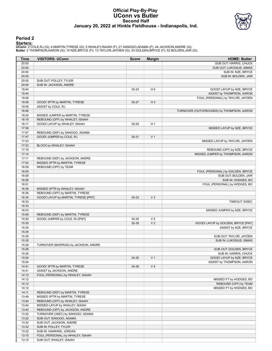#### **Official Play-By-Play UConn vs Butler Second Half January 20, 2022 at Hinkle Fieldhouse - Indianapolis, Ind.**



#### **Period 2**

<mark>Startersː</mark><br>UConn: 2 COLE,RJ (G); 4 MARTIN,TYRESE (G); 5 WHALEY,ISAIAH (F); 21 SANOGO,ADAMA (F); 44 JACKSON,ANDRE (G);<br>Butler: 2 THOMPSON,AARON (G); 10 NZE,BRYCE (F); 13 TAYLOR,JAYDEN (G); 33 GOLDEN,BRYCE (F); 52 BOLDEN,JA

| Time  | <b>VISITORS: UConn</b>               | <b>Score</b> | <b>Margin</b>  | <b>HOME: Butler</b>                       |
|-------|--------------------------------------|--------------|----------------|-------------------------------------------|
| 20:00 |                                      |              |                | SUB OUT: HARRIS, CHUCK                    |
| 20:00 |                                      |              |                | SUB OUT: LUKOSIUS, SIMAS                  |
| 20:00 |                                      |              |                | SUB IN: NZE, BRYCE                        |
| 20:00 |                                      |              |                | SUB IN: BOLDEN, JAIR                      |
| 20:00 | SUB OUT: POLLEY, TYLER               |              |                |                                           |
| 20:00 | SUB IN: JACKSON, ANDRE               |              |                |                                           |
| 19:44 |                                      | $30 - 24$    | H 6            | GOOD! LAYUP by NZE, BRYCE                 |
| 19:44 |                                      |              |                | ASSIST by THOMPSON, AARON                 |
| 19:26 |                                      |              |                | FOUL (PERSONAL) by TAYLOR, JAYDEN         |
| 19:08 | GOOD! 3PTR by MARTIN, TYRESE         | $30 - 27$    | $H_3$          |                                           |
| 19:08 | ASSIST by COLE, RJ                   |              |                |                                           |
| 18:48 |                                      |              |                | TURNOVER (OUTOFBOUNDS) by THOMPSON, AARON |
| 18:20 | MISSED JUMPER by MARTIN, TYRESE      |              |                |                                           |
| 18:18 | REBOUND (OFF) by WHALEY, ISAIAH      |              |                |                                           |
| 18:17 | GOOD! LAYUP by WHALEY, ISAIAH        | 30-29        | H <sub>1</sub> |                                           |
| 17:59 |                                      |              |                | MISSED LAYUP by NZE, BRYCE                |
| 17:57 | REBOUND (DEF) by SANOGO, ADAMA       |              |                |                                           |
| 17:47 | GOOD! JUMPER by COLE, RJ             | $30 - 31$    | V <sub>1</sub> |                                           |
| 17:23 |                                      |              |                | MISSED LAYUP by TAYLOR, JAYDEN            |
| 17:23 | BLOCK by WHALEY, ISAIAH              |              |                |                                           |
| 17:19 |                                      |              |                | REBOUND (OFF) by NZE, BRYCE               |
| 17:14 |                                      |              |                | MISSED JUMPER by THOMPSON, AARON          |
| 17:11 | REBOUND (DEF) by JACKSON, ANDRE      |              |                |                                           |
| 17:02 | MISSED 3PTR by MARTIN, TYRESE        |              |                |                                           |
| 16:59 | REBOUND (OFF) by TEAM                |              |                |                                           |
| 16:59 |                                      |              |                | FOUL (PERSONAL) by GOLDEN, BRYCE          |
| 16:59 |                                      |              |                | SUB OUT: BOLDEN, JAIR                     |
| 16:59 |                                      |              |                | SUB IN: HODGES, BO                        |
| 16:51 |                                      |              |                | FOUL (PERSONAL) by HODGES, BO             |
| 16:39 | MISSED 3PTR by WHALEY, ISAIAH        |              |                |                                           |
| 16:36 | REBOUND (OFF) by MARTIN, TYRESE      |              |                |                                           |
| 16:35 | GOOD! LAYUP by MARTIN, TYRESE [PNT]  | 30-33        | $V_3$          |                                           |
| 16:33 |                                      |              |                | TIMEOUT 30SEC                             |
| 16:33 |                                      |              |                |                                           |
| 16:03 |                                      |              |                | MISSED JUMPER by NZE, BRYCE               |
| 15:59 | REBOUND (DEF) by MARTIN, TYRESE      |              |                |                                           |
| 15:50 | GOOD! JUMPER by COLE, RJ [PNT]       | 30-35        | V <sub>5</sub> |                                           |
| 15:35 |                                      | 32-35        | V <sub>3</sub> | GOOD! LAYUP by GOLDEN, BRYCE [PNT]        |
| 15:35 |                                      |              |                | ASSIST by NZE, BRYCE                      |
| 15:35 |                                      |              |                |                                           |
| 15:35 |                                      |              |                | SUB OUT: TAYLOR, JAYDEN                   |
| 15:35 |                                      |              |                | SUB IN: LUKOSIUS, SIMAS                   |
| 15:26 | TURNOVER (BADPASS) by JACKSON, ANDRE |              |                |                                           |
| 15:26 |                                      |              |                | SUB OUT: GOLDEN, BRYCE                    |
| 15:26 |                                      |              |                | SUB IN: HARRIS, CHUCK                     |
| 15:04 |                                      | 34-35        | V <sub>1</sub> | GOOD! LAYUP by NZE, BRYCE                 |
| 15:04 |                                      |              |                | ASSIST by THOMPSON, AARON                 |
| 14:41 | GOOD! 3PTR by MARTIN, TYRESE         | 34-38        | V <sub>4</sub> |                                           |
| 14:41 | ASSIST by JACKSON, ANDRE             |              |                |                                           |
| 14:12 | FOUL (PERSONAL) by WHALEY, ISAIAH    |              |                |                                           |
| 14:12 |                                      |              |                | MISSED FT by HODGES, BO                   |
| 14:12 |                                      |              |                | REBOUND (OFF) by TEAM                     |
| 14:12 |                                      |              |                | MISSED FT by HODGES, BO                   |
| 14:11 | REBOUND (DEF) by MARTIN, TYRESE      |              |                |                                           |
| 13:49 | MISSED 3PTR by MARTIN, TYRESE        |              |                |                                           |
| 13:44 | REBOUND (OFF) by WHALEY, ISAIAH      |              |                |                                           |
| 13:44 | MISSED LAYUP by WHALEY, ISAIAH       |              |                |                                           |
| 13:40 | REBOUND (OFF) by JACKSON, ANDRE      |              |                |                                           |
| 13:32 | TURNOVER (3SEC) by SANOGO, ADAMA     |              |                |                                           |
| 13:32 | SUB OUT: SANOGO, ADAMA               |              |                |                                           |
| 13:32 | SUB OUT: JACKSON, ANDRE              |              |                |                                           |
| 13:32 | SUB IN: POLLEY, TYLER                |              |                |                                           |
| 13:32 | SUB IN: HAWKINS, JORDAN              |              |                |                                           |
| 13:15 | FOUL (PERSONAL) by WHALEY, ISAIAH    |              |                |                                           |
| 13:15 | SUB OUT: WHALEY, ISAIAH              |              |                |                                           |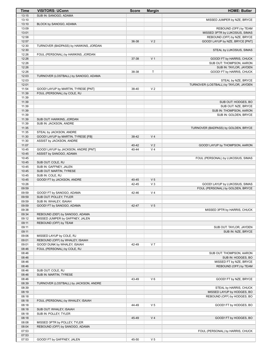| Time           | <b>VISITORS: UConn</b>                                         | <b>Score</b>   | <b>Margin</b>                    | <b>HOME: Butler</b>                                       |
|----------------|----------------------------------------------------------------|----------------|----------------------------------|-----------------------------------------------------------|
| 13:15          | SUB IN: SANOGO, ADAMA                                          |                |                                  |                                                           |
| 13:10          |                                                                |                |                                  | MISSED JUMPER by NZE, BRYCE                               |
| 13:10<br>13:09 | BLOCK by SANOGO, ADAMA                                         |                |                                  | REBOUND (OFF) by TEAM                                     |
| 13:01          |                                                                |                |                                  | MISSED 3PTR by LUKOSIUS, SIMAS                            |
| 12:58          |                                                                |                |                                  | REBOUND (OFF) by NZE, BRYCE                               |
| 12:57          |                                                                | 36-38          | V <sub>2</sub>                   | GOOD! LAYUP by NZE, BRYCE [PNT]                           |
| 12:30          | TURNOVER (BADPASS) by HAWKINS, JORDAN                          |                |                                  |                                                           |
| 12:30          |                                                                |                |                                  | STEAL by LUKOSIUS, SIMAS                                  |
| 12:26<br>12:26 | FOUL (PERSONAL) by HAWKINS, JORDAN                             | 37-38          | V <sub>1</sub>                   | GOOD! FT by HARRIS, CHUCK                                 |
| 12:26          |                                                                |                |                                  | SUB OUT: THOMPSON, AARON                                  |
| 12:26          |                                                                |                |                                  | SUB IN: TAYLOR, JAYDEN                                    |
| 12:26          |                                                                | 38-38          | Τ                                | GOOD! FT by HARRIS, CHUCK                                 |
| 12:03          | TURNOVER (LOSTBALL) by SANOGO, ADAMA                           |                |                                  |                                                           |
| 12:03          |                                                                |                |                                  | STEAL by NZE, BRYCE                                       |
| 12:01<br>11:54 | GOOD! LAYUP by MARTIN, TYRESE [PNT]                            | 38-40          | V <sub>2</sub>                   | TURNOVER (LOSTBALL) by TAYLOR, JAYDEN                     |
| 11:39          | FOUL (PERSONAL) by COLE, RJ                                    |                |                                  |                                                           |
| 11:39          |                                                                |                |                                  |                                                           |
| 11:39          |                                                                |                |                                  | SUB OUT: HODGES, BO                                       |
| 11:39          |                                                                |                |                                  | SUB OUT: NZE, BRYCE                                       |
| 11:39          |                                                                |                |                                  | SUB IN: THOMPSON, AARON                                   |
| 11:39<br>11:39 | SUB OUT: HAWKINS, JORDAN                                       |                |                                  | SUB IN: GOLDEN, BRYCE                                     |
| 11:39          | SUB IN: JACKSON, ANDRE                                         |                |                                  |                                                           |
| 11:35          |                                                                |                |                                  | TURNOVER (BADPASS) by GOLDEN, BRYCE                       |
| 11:35          | STEAL by JACKSON, ANDRE                                        |                |                                  |                                                           |
| 11:30          | GOOD! LAYUP by MARTIN, TYRESE [FB]                             | 38-42          | V <sub>4</sub>                   |                                                           |
| 11:30          | ASSIST by JACKSON, ANDRE                                       |                |                                  |                                                           |
| 11:07<br>10:45 | GOOD! LAYUP by JACKSON, ANDRE [PNT]                            | 40-42<br>40-44 | V <sub>2</sub><br>V <sub>4</sub> | GOOD! LAYUP by THOMPSON, AARON                            |
| 10:45          | ASSIST by SANOGO, ADAMA                                        |                |                                  |                                                           |
| 10:45          |                                                                |                |                                  | FOUL (PERSONAL) by LUKOSIUS, SIMAS                        |
| 10:45          | SUB OUT: COLE, RJ                                              |                |                                  |                                                           |
| 10:45          | SUB IN: GAFFNEY, JALEN                                         |                |                                  |                                                           |
| 10:45          | SUB OUT: MARTIN, TYRESE                                        |                |                                  |                                                           |
| 10:45<br>10:45 | SUB IN: COLE, RJ<br>GOOD! FT by JACKSON, ANDRE                 | 40-45          | V <sub>5</sub>                   |                                                           |
| 10:26          |                                                                | 42-45          | $V_3$                            | GOOD! LAYUP by LUKOSIUS, SIMAS                            |
| 09:59          |                                                                |                |                                  | FOUL (PERSONAL) by GOLDEN, BRYCE                          |
| 09:59          | GOOD! FT by SANOGO, ADAMA                                      | 42-46          | V <sub>4</sub>                   |                                                           |
| 09:59          | SUB OUT: POLLEY, TYLER                                         |                |                                  |                                                           |
| 09:59          | SUB IN: WHALEY, ISAIAH                                         |                |                                  |                                                           |
| 09:59<br>09:38 | GOOD! FT by SANOGO, ADAMA                                      | 42-47          | V <sub>5</sub>                   | MISSED 3PTR by HARRIS, CHUCK                              |
| 09:34          | REBOUND (DEF) by SANOGO, ADAMA                                 |                |                                  |                                                           |
| 09:12          | MISSED JUMPER by GAFFNEY, JALEN                                |                |                                  |                                                           |
| 09:11          | REBOUND (OFF) by TEAM                                          |                |                                  |                                                           |
| 09:11          |                                                                |                |                                  | SUB OUT: TAYLOR, JAYDEN                                   |
| 09:11<br>09:06 | MISSED LAYUP by COLE, RJ                                       |                |                                  | SUB IN: NZE, BRYCE                                        |
| 09:01          | REBOUND (OFF) by WHALEY, ISAIAH                                |                |                                  |                                                           |
| 09:01          | GOOD! DUNK by WHALEY, ISAIAH                                   | 42-49          | V <sub>7</sub>                   |                                                           |
| 08:46          | FOUL (PERSONAL) by COLE, RJ                                    |                |                                  |                                                           |
| 08:46          |                                                                |                |                                  | SUB OUT: THOMPSON, AARON                                  |
| 08:46          |                                                                |                |                                  | SUB IN: HODGES, BO                                        |
| 08:46<br>08:46 |                                                                |                |                                  | MISSED FT by NZE, BRYCE<br>REBOUND (OFF) by TEAM          |
| 08:46          | SUB OUT: COLE, RJ                                              |                |                                  |                                                           |
| 08:46          | SUB IN: MARTIN, TYRESE                                         |                |                                  |                                                           |
| 08:46          |                                                                | 43-49          | $V_6$                            | GOOD! FT by NZE, BRYCE                                    |
| 08:39          | TURNOVER (LOSTBALL) by JACKSON, ANDRE                          |                |                                  |                                                           |
| 08:39          |                                                                |                |                                  | STEAL by HARRIS, CHUCK                                    |
| 08:19<br>08:18 |                                                                |                |                                  | MISSED LAYUP by HODGES, BO<br>REBOUND (OFF) by HODGES, BO |
| 08:18          | FOUL (PERSONAL) by WHALEY, ISAIAH                              |                |                                  |                                                           |
| 08:18          |                                                                | 44-49          | V <sub>5</sub>                   | GOOD! FT by HODGES, BO                                    |
| 08:18          | SUB OUT: WHALEY, ISAIAH                                        |                |                                  |                                                           |
| 08:18          | SUB IN: POLLEY, TYLER                                          |                |                                  |                                                           |
| 08:18          |                                                                | 45-49          | V <sub>4</sub>                   | GOOD! FT by HODGES, BO                                    |
| 08:08<br>08:04 | MISSED 3PTR by POLLEY, TYLER<br>REBOUND (OFF) by SANOGO, ADAMA |                |                                  |                                                           |
| 07:53          |                                                                |                |                                  | FOUL (PERSONAL) by HARRIS, CHUCK                          |
| 07:53          |                                                                |                |                                  |                                                           |
| 07:53          | GOOD! FT by GAFFNEY, JALEN                                     | 45-50          | V <sub>5</sub>                   |                                                           |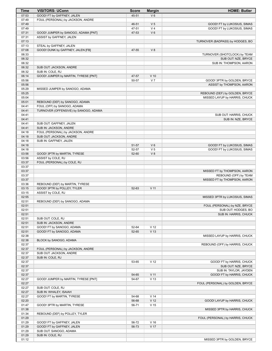| Time           | <b>VISITORS: UConn</b>                                          | <b>Score</b>   | <b>Margin</b>        | <b>HOME: Butler</b>                          |
|----------------|-----------------------------------------------------------------|----------------|----------------------|----------------------------------------------|
| 07:53          | GOOD! FT by GAFFNEY, JALEN                                      | 45-51          | $V_6$                |                                              |
| 07:49          | FOUL (PERSONAL) by JACKSON, ANDRE                               |                |                      |                                              |
| 07:49          |                                                                 | 46-51          | V <sub>5</sub>       | GOOD! FT by LUKOSIUS, SIMAS                  |
| 07:49          |                                                                 | 47-51          | V <sub>4</sub>       | GOOD! FT by LUKOSIUS, SIMAS                  |
| 07:31<br>07:31 | GOOD! JUMPER by SANOGO, ADAMA [PNT]<br>ASSIST by GAFFNEY, JALEN | 47-53          | $V_6$                |                                              |
| 07:13          |                                                                 |                |                      | TURNOVER (BADPASS) by HODGES, BO             |
| 07:13          | STEAL by GAFFNEY, JALEN                                         |                |                      |                                              |
| 07:08          | GOOD! DUNK by GAFFNEY, JALEN [FB]                               | 47-55          | V8                   |                                              |
| 06:33          |                                                                 |                |                      | TURNOVER (SHOTCLOCK) by TEAM                 |
| 06:32          |                                                                 |                |                      | SUB OUT: NZE, BRYCE                          |
| 06:32          |                                                                 |                |                      | SUB IN: THOMPSON, AARON                      |
| 06:32          | SUB OUT: JACKSON, ANDRE                                         |                |                      |                                              |
| 06:32<br>06:14 | SUB IN: COLE, RJ<br>GOOD! JUMPER by MARTIN, TYRESE [PNT]        | 47-57          | $V$ 10               |                                              |
| 05:56          |                                                                 | 50-57          | V <sub>7</sub>       | GOOD! 3PTR by GOLDEN, BRYCE                  |
| 05:56          |                                                                 |                |                      | ASSIST by THOMPSON, AARON                    |
| 05:29          | MISSED JUMPER by SANOGO, ADAMA                                  |                |                      |                                              |
| 05:25          |                                                                 |                |                      | REBOUND (DEF) by GOLDEN, BRYCE               |
| 05:04          |                                                                 |                |                      | MISSED LAYUP by HARRIS, CHUCK                |
| 05:01          | REBOUND (DEF) by SANOGO, ADAMA                                  |                |                      |                                              |
| 04:41          | FOUL (OFF) by SANOGO, ADAMA                                     |                |                      |                                              |
| 04:41<br>04:41 | TURNOVER (OFFENSIVE) by SANOGO, ADAMA                           |                |                      |                                              |
| 04:41          |                                                                 |                |                      | SUB OUT: HARRIS, CHUCK<br>SUB IN: NZE, BRYCE |
| 04:41          | SUB OUT: GAFFNEY, JALEN                                         |                |                      |                                              |
| 04:41          | SUB IN: JACKSON, ANDRE                                          |                |                      |                                              |
| 04:18          | FOUL (PERSONAL) by JACKSON, ANDRE                               |                |                      |                                              |
| 04:18          | SUB OUT: JACKSON, ANDRE                                         |                |                      |                                              |
| 04:18          | SUB IN: GAFFNEY, JALEN                                          |                |                      |                                              |
| 04:18          |                                                                 | 51-57          | $V_6$                | GOOD! FT by LUKOSIUS, SIMAS                  |
| 04:18<br>03:56 | GOOD! 3PTR by MARTIN, TYRESE                                    | 52-57<br>52-60 | V <sub>5</sub><br>V8 | GOOD! FT by LUKOSIUS, SIMAS                  |
| 03:56          | ASSIST by COLE, RJ                                              |                |                      |                                              |
| 03:37          | FOUL (PERSONAL) by COLE, RJ                                     |                |                      |                                              |
| 03:37          |                                                                 |                |                      |                                              |
| 03:37          |                                                                 |                |                      | MISSED FT by THOMPSON, AARON                 |
| 03:37          |                                                                 |                |                      | REBOUND (OFF) by TEAM                        |
| 03:37          |                                                                 |                |                      | MISSED FT by THOMPSON, AARON                 |
| 03:36<br>03:15 | REBOUND (DEF) by MARTIN, TYRESE<br>GOOD! 3PTR by POLLEY, TYLER  | 52-63          | V <sub>11</sub>      |                                              |
| 03:15          | ASSIST by COLE, RJ                                              |                |                      |                                              |
| 02:55          |                                                                 |                |                      | MISSED 3PTR by LUKOSIUS, SIMAS               |
| 02:51          | REBOUND (DEF) by SANOGO, ADAMA                                  |                |                      |                                              |
| 02:51          |                                                                 |                |                      | FOUL (PERSONAL) by NZE, BRYCE                |
| 02:51          |                                                                 |                |                      | SUB OUT: HODGES, BO                          |
| 02:51          |                                                                 |                |                      | SUB IN: HARRIS, CHUCK                        |
| 02:51          | SUB OUT: COLE, RJ                                               |                |                      |                                              |
| 02:51<br>02:51 | SUB IN: JACKSON, ANDRE<br>GOOD! FT by SANOGO, ADAMA             | 52-64          | V <sub>12</sub>      |                                              |
| 02:51          | GOOD! FT by SANOGO, ADAMA                                       | 52-65          | V <sub>13</sub>      |                                              |
| 02:38          |                                                                 |                |                      | MISSED LAYUP by HARRIS, CHUCK                |
| 02:38          | BLOCK by SANOGO, ADAMA                                          |                |                      |                                              |
| 02:37          |                                                                 |                |                      | REBOUND (OFF) by HARRIS, CHUCK               |
| 02:37          | FOUL (PERSONAL) by JACKSON, ANDRE                               |                |                      |                                              |
| 02:37          | SUB OUT: JACKSON, ANDRE                                         |                |                      |                                              |
| 02:37<br>02:37 | SUB IN: COLE, RJ                                                | 53-65          | V <sub>12</sub>      | GOOD! FT by HARRIS, CHUCK                    |
| 02:37          |                                                                 |                |                      | SUB OUT: NZE, BRYCE                          |
| 02:37          |                                                                 |                |                      | SUB IN: TAYLOR, JAYDEN                       |
| 02:37          |                                                                 | 54-65          | $V$ 11               | GOOD! FT by HARRIS, CHUCK                    |
| 02:27          | GOOD! JUMPER by MARTIN, TYRESE [PNT]                            | 54-67          | V <sub>13</sub>      |                                              |
| 02:27          |                                                                 |                |                      | FOUL (PERSONAL) by GOLDEN, BRYCE             |
| 02:27          | SUB OUT: COLE, RJ                                               |                |                      |                                              |
| 02:27<br>02:27 | SUB IN: WHALEY, ISAIAH<br>GOOD! FT by MARTIN, TYRESE            | 54-68          | V <sub>14</sub>      |                                              |
| 02:20          |                                                                 | 56-68          | V <sub>12</sub>      | GOOD! LAYUP by HARRIS, CHUCK                 |
| 01:47          | GOOD! 3PTR by MARTIN, TYRESE                                    | 56-71          | V <sub>15</sub>      |                                              |
| 01:38          |                                                                 |                |                      | MISSED 3PTR by HARRIS, CHUCK                 |
| 01:34          | REBOUND (DEF) by POLLEY, TYLER                                  |                |                      |                                              |
| 01:29          |                                                                 |                |                      | FOUL (PERSONAL) by HARRIS, CHUCK             |
| 01:29          | GOOD! FT by GAFFNEY, JALEN                                      | 56-72          | V <sub>16</sub>      |                                              |
| 01:29          | GOOD! FT by GAFFNEY, JALEN                                      | 56-73          | V 17                 |                                              |
| 01:29<br>01:29 | SUB OUT: SANOGO, ADAMA<br>SUB IN: COLE, RJ                      |                |                      |                                              |
| 01:12          |                                                                 |                |                      | MISSED 3PTR by GOLDEN, BRYCE                 |
|                |                                                                 |                |                      |                                              |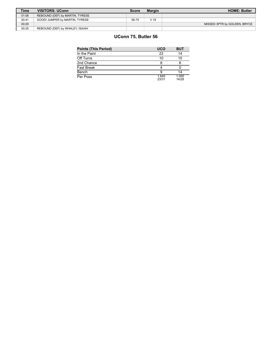| <b>Time</b> | VISITORS: UConn                 | <b>Score</b> | <b>Margin</b> | <b>HOME: Butler</b>          |
|-------------|---------------------------------|--------------|---------------|------------------------------|
| 01:08       | REBOUND (DEF) by MARTIN, TYRESE |              |               |                              |
| 00:41       | GOOD! JUMPER by MARTIN, TYRESE  | 56-75        | V 19          |                              |
| 00:29       |                                 |              |               | MISSED 3PTR by GOLDEN, BRYCE |
| 00:25       | REBOUND (DEF) by WHALEY, ISAIAH |              |               |                              |

# **UConn 75, Butler 56**

| Points (This Period) | <b>UCO</b>     | <b>BUT</b>     |
|----------------------|----------------|----------------|
| In the Paint         | 22             | 14             |
| Off Turns            | 10             | 10             |
| 2nd Chance           |                | 6              |
| Fast Break           |                |                |
| Bench                |                | 14             |
| Per Poss             | 1.645<br>23/31 | 1.000<br>14/28 |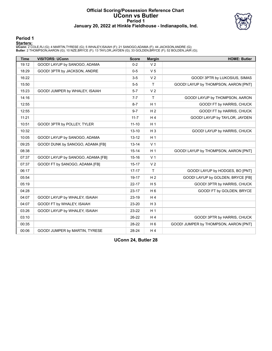#### **Official Scoring/Possession Reference Chart UConn vs Butler Period 1 January 20, 2022 at Hinkle Fieldhouse - Indianapolis, Ind.**



#### **Period 1**

<mark>Startersː</mark><br>UConn: 2 COLE,RJ (G); 4 MARTIN,TYRESE (G); 5 WHALEY,ISAIAH (F); 21 SANOGO,ADAMA (F); 44 JACKSON,ANDRE (G);<br>Butler: 2 THOMPSON,AARON (G); 10 NZE,BRYCE (F); 13 TAYLOR,JAYDEN (G); 33 GOLDEN,BRYCE (F); 52 BOLDEN,JA

| <b>Time</b> | <b>VISITORS: UConn</b>            | <b>Score</b> | <b>Margin</b>  | <b>HOME: Butler</b>                   |
|-------------|-----------------------------------|--------------|----------------|---------------------------------------|
| 19:12       | GOOD! LAYUP by SANOGO, ADAMA      | $0 - 2$      | V <sub>2</sub> |                                       |
| 18:29       | GOOD! 3PTR by JACKSON, ANDRE      | $0 - 5$      | V <sub>5</sub> |                                       |
| 16:22       |                                   | $3-5$        | V <sub>2</sub> | GOOD! 3PTR by LUKOSIUS, SIMAS         |
| 15:50       |                                   | $5-5$        | $\mathsf{T}$   | GOOD! LAYUP by THOMPSON, AARON [PNT]  |
| 15:23       | GOOD! JUMPER by WHALEY, ISAIAH    | $5 - 7$      | V <sub>2</sub> |                                       |
| 14:16       |                                   | $7 - 7$      | $\mathsf{T}$   | GOOD! LAYUP by THOMPSON, AARON        |
| 12:55       |                                   | $8 - 7$      | H <sub>1</sub> | GOOD! FT by HARRIS, CHUCK             |
| 12:55       |                                   | $9 - 7$      | H <sub>2</sub> | GOOD! FT by HARRIS, CHUCK             |
| 11:21       |                                   | $11 - 7$     | H <sub>4</sub> | GOOD! LAYUP by TAYLOR, JAYDEN         |
| 10:51       | GOOD! 3PTR by POLLEY, TYLER       | $11 - 10$    | H <sub>1</sub> |                                       |
| 10:32       |                                   | $13 - 10$    | $H_3$          | GOOD! LAYUP by HARRIS, CHUCK          |
| 10:05       | GOOD! LAYUP by SANOGO, ADAMA      | $13 - 12$    | H <sub>1</sub> |                                       |
| 09:25       | GOOD! DUNK by SANOGO, ADAMA [FB]  | $13 - 14$    | V <sub>1</sub> |                                       |
| 08:38       |                                   | $15 - 14$    | H <sub>1</sub> | GOOD! LAYUP by THOMPSON, AARON [PNT]  |
| 07:37       | GOOD! LAYUP by SANOGO, ADAMA [FB] | $15 - 16$    | V <sub>1</sub> |                                       |
| 07:37       | GOOD! FT by SANOGO, ADAMA [FB]    | $15 - 17$    | V <sub>2</sub> |                                       |
| 06:17       |                                   | $17 - 17$    | T              | GOOD! LAYUP by HODGES, BO [PNT]       |
| 05:54       |                                   | 19-17        | H <sub>2</sub> | GOOD! LAYUP by GOLDEN, BRYCE [FB]     |
| 05:19       |                                   | $22 - 17$    | H <sub>5</sub> | GOOD! 3PTR by HARRIS, CHUCK           |
| 04:28       |                                   | $23 - 17$    | H <sub>6</sub> | GOOD! FT by GOLDEN, BRYCE             |
| 04:07       | GOOD! LAYUP by WHALEY, ISAIAH     | 23-19        | H4             |                                       |
| 04:07       | GOOD! FT by WHALEY, ISAIAH        | 23-20        | $H_3$          |                                       |
| 03:26       | GOOD! LAYUP by WHALEY, ISAIAH     | 23-22        | H <sub>1</sub> |                                       |
| 03:10       |                                   | $26-22$      | H4             | GOOD! 3PTR by HARRIS, CHUCK           |
| 00:35       |                                   | 28-22        | H <sub>6</sub> | GOOD! JUMPER by THOMPSON, AARON [PNT] |
| 00:06       | GOOD! JUMPER by MARTIN, TYRESE    | 28-24        | H4             |                                       |

**UConn 24, Butler 28**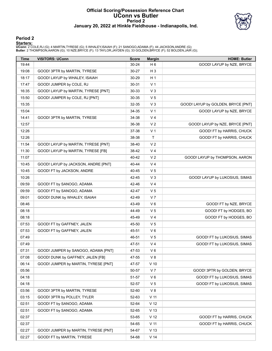#### **Official Scoring/Possession Reference Chart UConn vs Butler Period 2 January 20, 2022 at Hinkle Fieldhouse - Indianapolis, Ind.**



### **Period 2**

<mark>Startersː</mark><br>UConn: 2 COLE,RJ (G); 4 MARTIN,TYRESE (G); 5 WHALEY,ISAIAH (F); 21 SANOGO,ADAMA (F); 44 JACKSON,ANDRE (G);<br>Butler: 2 THOMPSON,AARON (G); 10 NZE,BRYCE (F); 13 TAYLOR,JAYDEN (G); 33 GOLDEN,BRYCE (F); 52 BOLDEN,JA

| <b>Time</b> | <b>VISITORS: UConn</b>               | <b>Score</b> | <b>Margin</b>   | <b>HOME: Butler</b>                |
|-------------|--------------------------------------|--------------|-----------------|------------------------------------|
| 19:44       |                                      | 30-24        | H <sub>6</sub>  | GOOD! LAYUP by NZE, BRYCE          |
| 19:08       | GOOD! 3PTR by MARTIN, TYRESE         | 30-27        | H <sub>3</sub>  |                                    |
| 18:17       | GOOD! LAYUP by WHALEY, ISAIAH        | 30-29        | H <sub>1</sub>  |                                    |
| 17:47       | GOOD! JUMPER by COLE, RJ             | 30-31        | V <sub>1</sub>  |                                    |
| 16:35       | GOOD! LAYUP by MARTIN, TYRESE [PNT]  | 30-33        | $V_3$           |                                    |
| 15:50       | GOOD! JUMPER by COLE, RJ [PNT]       | 30-35        | V <sub>5</sub>  |                                    |
| 15:35       |                                      | 32-35        | $V_3$           | GOOD! LAYUP by GOLDEN, BRYCE [PNT] |
| 15:04       |                                      | 34-35        | V <sub>1</sub>  | GOOD! LAYUP by NZE, BRYCE          |
| 14:41       | GOOD! 3PTR by MARTIN, TYRESE         | 34-38        | V <sub>4</sub>  |                                    |
| 12:57       |                                      | 36-38        | V <sub>2</sub>  | GOOD! LAYUP by NZE, BRYCE [PNT]    |
| 12:26       |                                      | 37-38        | V <sub>1</sub>  | GOOD! FT by HARRIS, CHUCK          |
| 12:26       |                                      | 38-38        | T               | GOOD! FT by HARRIS, CHUCK          |
| 11:54       | GOOD! LAYUP by MARTIN, TYRESE [PNT]  | 38-40        | V <sub>2</sub>  |                                    |
| 11:30       | GOOD! LAYUP by MARTIN, TYRESE [FB]   | 38-42        | V <sub>4</sub>  |                                    |
| 11:07       |                                      | 40-42        | V <sub>2</sub>  | GOOD! LAYUP by THOMPSON, AARON     |
| 10:45       | GOOD! LAYUP by JACKSON, ANDRE [PNT]  | 40-44        | V <sub>4</sub>  |                                    |
| 10:45       | GOOD! FT by JACKSON, ANDRE           | 40-45        | V <sub>5</sub>  |                                    |
| 10:26       |                                      | 42-45        | $V_3$           | GOOD! LAYUP by LUKOSIUS, SIMAS     |
| 09:59       | GOOD! FT by SANOGO, ADAMA            | 42-46        | V <sub>4</sub>  |                                    |
| 09:59       | GOOD! FT by SANOGO, ADAMA            | 42-47        | V <sub>5</sub>  |                                    |
| 09:01       | GOOD! DUNK by WHALEY, ISAIAH         | 42-49        | V <sub>7</sub>  |                                    |
| 08:46       |                                      | 43-49        | $V_6$           | GOOD! FT by NZE, BRYCE             |
| 08:18       |                                      | 44-49        | V <sub>5</sub>  | GOOD! FT by HODGES, BO             |
| 08:18       |                                      | 45-49        | V <sub>4</sub>  | GOOD! FT by HODGES, BO             |
| 07:53       | GOOD! FT by GAFFNEY, JALEN           | 45-50        | V <sub>5</sub>  |                                    |
| 07:53       | GOOD! FT by GAFFNEY, JALEN           | 45-51        | $V_6$           |                                    |
| 07:49       |                                      | 46-51        | V <sub>5</sub>  | GOOD! FT by LUKOSIUS, SIMAS        |
| 07:49       |                                      | 47-51        | V <sub>4</sub>  | GOOD! FT by LUKOSIUS, SIMAS        |
| 07:31       | GOOD! JUMPER by SANOGO, ADAMA [PNT]  | 47-53        | $V_6$           |                                    |
| 07:08       | GOOD! DUNK by GAFFNEY, JALEN [FB]    | 47-55        | V8              |                                    |
| 06:14       | GOOD! JUMPER by MARTIN, TYRESE [PNT] | 47-57        | $V$ 10          |                                    |
| 05:56       |                                      | 50-57        | V <sub>7</sub>  | GOOD! 3PTR by GOLDEN, BRYCE        |
| 04:18       |                                      | 51-57        | $V_6$           | GOOD! FT by LUKOSIUS, SIMAS        |
| 04:18       |                                      | 52-57        | V <sub>5</sub>  | GOOD! FT by LUKOSIUS, SIMAS        |
| 03:56       | GOOD! 3PTR by MARTIN, TYRESE         | 52-60        | V8              |                                    |
| 03:15       | GOOD! 3PTR by POLLEY, TYLER          | 52-63        | V <sub>11</sub> |                                    |
| 02:51       | GOOD! FT by SANOGO, ADAMA            | 52-64        | V <sub>12</sub> |                                    |
| 02:51       | GOOD! FT by SANOGO, ADAMA            | 52-65        | V <sub>13</sub> |                                    |
| 02:37       |                                      | 53-65        | V <sub>12</sub> | GOOD! FT by HARRIS, CHUCK          |
| 02:37       |                                      | 54-65        | V <sub>11</sub> | GOOD! FT by HARRIS, CHUCK          |
| 02:27       | GOOD! JUMPER by MARTIN, TYRESE [PNT] | 54-67        | V <sub>13</sub> |                                    |
| 02:27       | GOOD! FT by MARTIN, TYRESE           | 54-68        | V <sub>14</sub> |                                    |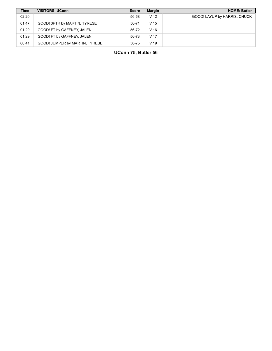| <b>Time</b> | <b>VISITORS: UConn</b>         | <b>Score</b> | <b>Margin</b>   | <b>HOME: Butler</b>          |
|-------------|--------------------------------|--------------|-----------------|------------------------------|
| 02:20       |                                | 56-68        | V <sub>12</sub> | GOOD! LAYUP by HARRIS, CHUCK |
| 01:47       | GOOD! 3PTR by MARTIN, TYRESE   | 56-71        | V <sub>15</sub> |                              |
| 01:29       | GOOD! FT by GAFFNEY, JALEN     | 56-72        | V <sub>16</sub> |                              |
| 01:29       | GOOD! FT by GAFFNEY, JALEN     | 56-73        | V <sub>17</sub> |                              |
| 00:41       | GOOD! JUMPER by MARTIN, TYRESE | 56-75        | V <sub>19</sub> |                              |

**UConn 75, Butler 56**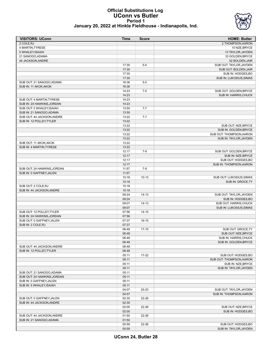#### **Official Substitutions Log UConn vs Butler Period 1 January 20, 2022 at Hinkle Fieldhouse - Indianapolis, Ind.**



| <b>VISITORS: UConn</b>      | Time  | <b>Score</b> | <b>HOME: Butler</b>      |
|-----------------------------|-------|--------------|--------------------------|
| 2 COLE.RJ                   |       |              | 2 THOMPSON, AARON        |
| 4 MARTIN, TYRESE            |       |              | 10 NZE, BRYCE            |
| 5 WHALEY, ISAIAH            |       |              | 13 TAYLOR, JAYDEN        |
| 21 SANOGO, ADAMA            |       |              | 33 GOLDEN, BRYCE         |
| 44 JACKSON, ANDRE           |       |              | 52 BOLDEN, JAIR          |
|                             | 17:30 | $5-0$        | SUB OUT: TAYLOR, JAYDEN  |
|                             | 17:30 |              | SUB OUT: BOLDEN, JAIR    |
|                             | 17:30 |              | SUB IN: HODGES, BO       |
|                             | 17:30 |              | SUB IN: LUKOSIUS, SIMAS  |
| SUB OUT: 21 SANOGO, ADAMA   | 16:36 | $5-0$        |                          |
| SUB IN: 11 AKOK, AKOK       | 16:36 |              |                          |
|                             | 14:23 | $7 - 5$      | SUB OUT: GOLDEN, BRYCE   |
|                             | 14:23 |              | SUB IN: HARRIS, CHUCK    |
| SUB OUT: 4 MARTIN, TYRESE   | 14:23 |              |                          |
| SUB IN: 24 HAWKINS, JORDAN  | 14:23 |              |                          |
| SUB OUT: 5 WHALEY, ISAIAH   | 13:50 | $7 - 7$      |                          |
| SUB IN: 21 SANOGO, ADAMA    | 13:50 |              |                          |
| SUB OUT: 44 JACKSON, ANDRE  | 13:22 | $7 - 7$      |                          |
| SUB IN: 12 POLLEY, TYLER    | 13:22 |              |                          |
|                             | 13:22 |              | SUB OUT: NZE.BRYCE       |
|                             | 13:22 |              | SUB IN: GOLDEN, BRYCE    |
|                             | 13:22 |              | SUB OUT: THOMPSON, AARON |
|                             | 13:22 |              | SUB IN: TAYLOR, JAYDEN   |
| SUB OUT: 11 AKOK, AKOK      | 13:22 |              |                          |
| SUB IN: 4 MARTIN, TYRESE    | 13:22 |              |                          |
|                             | 12:17 | $7-9$        | SUB OUT: GOLDEN, BRYCE   |
|                             | 12:17 |              | SUB IN: NZE, BRYCE       |
|                             | 12:17 |              | SUB OUT: HODGES.BO       |
|                             | 12:17 |              | SUB IN: THOMPSON, AARON  |
| SUB OUT: 24 HAWKINS, JORDAN | 11:57 | $7-9$        |                          |
| SUB IN: 0 GAFFNEY, JALEN    | 11:57 |              |                          |
|                             | 10:18 | $10-13$      | SUB OUT: LUKOSIUS, SIMAS |
|                             | 10:18 |              | SUB IN: GROCE, TY        |
| SUB OUT: 2 COLE, RJ         | 10:18 |              |                          |
| SUB IN: 44 JACKSON, ANDRE   | 10:18 |              |                          |
|                             | 09:24 | $14-13$      | SUB OUT: TAYLOR, JAYDEN  |
|                             | 09:24 |              | SUB IN: HODGES, BO       |
|                             | 09:07 | $14-13$      | SUB OUT: HARRIS, CHUCK   |
|                             | 09:07 |              | SUB IN: LUKOSIUS, SIMAS  |
| SUB OUT: 12 POLLEY, TYLER   | 07:56 | $14 - 15$    |                          |
| SUB IN: 24 HAWKINS, JORDAN  | 07:56 |              |                          |
| SUB OUT: 0 GAFFNEY, JALEN   | 07:37 | $16 - 15$    |                          |
| SUB IN: 2 COLE, RJ          | 07:37 |              |                          |
|                             | 06:48 | $17 - 15$    | SUB OUT: GROCE, TY       |
|                             | 06:48 |              | SUB OUT: NZE, BRYCE      |
|                             | 06:48 |              | SUB IN: HARRIS, CHUCK    |
|                             | 06:48 |              | SUB IN: GOLDEN, BRYCE    |
| SUB OUT: 44 JACKSON, ANDRE  | 06:48 |              |                          |
| SUB IN: 12 POLLEY, TYLER    | 06:48 |              |                          |
|                             | 05:11 | $17 - 22$    | SUB OUT: HODGES, BO      |
|                             | 05:11 |              | SUB OUT: THOMPSON, AARON |
|                             | 05:11 |              | SUB IN: NZE, BRYCE       |
|                             | 05:11 |              | SUB IN: TAYLOR, JAYDEN   |
| SUB OUT: 21 SANOGO, ADAMA   | 05:11 |              |                          |
| SUB OUT: 24 HAWKINS, JORDAN | 05:11 |              |                          |
| SUB IN: 0 GAFFNEY, JALEN    | 05:11 |              |                          |
| SUB IN: 5 WHALEY, ISAIAH    | 05:11 |              |                          |
|                             | 04:07 | 20-23        | SUB OUT: TAYLOR, JAYDEN  |
|                             | 04:07 |              | SUB IN: THOMPSON, AARON  |
| SUB OUT: 0 GAFFNEY, JALEN   | 02:30 | 22-26        |                          |
| SUB IN: 44 JACKSON, ANDRE   | 02:30 |              |                          |
|                             | 02:00 | 22-26        | SUB OUT: NZE, BRYCE      |
|                             | 02:00 |              | SUB IN: HODGES, BO       |
| SUB OUT: 44 JACKSON, ANDRE  | 01:50 | 22-26        |                          |
| SUB IN: 21 SANOGO, ADAMA    | 01:50 |              |                          |
|                             | 00:59 | 22-26        | SUB OUT: HODGES, BO      |
|                             | 00:59 |              | SUB IN: TAYLOR, JAYDEN   |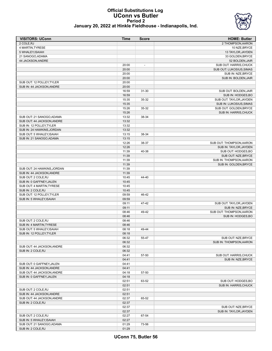### **Official Substitutions Log UConn vs Butler Period 2 January 20, 2022 at Hinkle Fieldhouse - Indianapolis, Ind.**



| <b>VISITORS: UConn</b>      | Time           | <b>Score</b>             | <b>HOME: Butler</b>                           |
|-----------------------------|----------------|--------------------------|-----------------------------------------------|
| 2 COLE, RJ                  |                |                          | 2 THOMPSON, AARON                             |
| 4 MARTIN, TYRESE            |                |                          | 10 NZE, BRYCE                                 |
| 5 WHALEY, ISAIAH            |                |                          | 13 TAYLOR, JAYDEN                             |
| 21 SANOGO, ADAMA            |                |                          | 33 GOLDEN, BRYCE                              |
| 44 JACKSON, ANDRE           |                |                          | 52 BOLDEN, JAIR                               |
|                             | 20:00          | $\overline{\phantom{a}}$ | SUB OUT: HARRIS, CHUCK                        |
|                             | 20:00          |                          | SUB OUT: LUKOSIUS, SIMAS                      |
|                             | 20:00          |                          | SUB IN: NZE, BRYCE                            |
|                             | 20:00          |                          | SUB IN: BOLDEN, JAIR                          |
| SUB OUT: 12 POLLEY, TYLER   | 20:00          |                          |                                               |
| SUB IN: 44 JACKSON, ANDRE   | 20:00          |                          |                                               |
|                             | 16:59          | $31 - 30$                | SUB OUT: BOLDEN, JAIR                         |
|                             | 16:59<br>15:35 | 35-32                    | SUB IN: HODGES, BO<br>SUB OUT: TAYLOR, JAYDEN |
|                             | 15:35          |                          | SUB IN: LUKOSIUS, SIMAS                       |
|                             | 15:26          | 35-32                    | SUB OUT: GOLDEN, BRYCE                        |
|                             | 15:26          |                          | SUB IN: HARRIS, CHUCK                         |
| SUB OUT: 21 SANOGO, ADAMA   | 13:32          | 38-34                    |                                               |
| SUB OUT: 44 JACKSON, ANDRE  | 13:32          |                          |                                               |
| SUB IN: 12 POLLEY TYLER     | 13:32          |                          |                                               |
| SUB IN: 24 HAWKINS, JORDAN  | 13:32          |                          |                                               |
| SUB OUT: 5 WHALEY, ISAIAH   | 13:15          | 38-34                    |                                               |
| SUB IN: 21 SANOGO.ADAMA     | 13:15          |                          |                                               |
|                             | 12:26          | 38-37                    | SUB OUT: THOMPSON, AARON                      |
|                             | 12:26          |                          | SUB IN: TAYLOR, JAYDEN                        |
|                             | 11:39          | 40-38                    | SUB OUT: HODGES, BO                           |
|                             | 11:39          |                          | SUB OUT: NZE, BRYCE                           |
|                             | 11:39          |                          | SUB IN: THOMPSON, AARON                       |
|                             | 11:39          |                          | SUB IN: GOLDEN, BRYCE                         |
| SUB OUT: 24 HAWKINS, JORDAN | 11:39          |                          |                                               |
| SUB IN: 44 JACKSON, ANDRE   | 11:39          |                          |                                               |
| SUB OUT: 2 COLE, RJ         | 10:45          | 44-40                    |                                               |
| SUB IN: 0 GAFFNEY, JALEN    | 10:45          |                          |                                               |
| SUB OUT: 4 MARTIN, TYRESE   | 10:45          |                          |                                               |
| SUB IN: 2 COLE, RJ          | 10:45          |                          |                                               |
| SUB OUT: 12 POLLEY, TYLER   | 09:59          | 46-42                    |                                               |
| SUB IN: 5 WHALEY, ISAIAH    | 09:59          |                          |                                               |
|                             | 09:11          | 47-42                    | SUB OUT: TAYLOR, JAYDEN                       |
|                             | 09:11          |                          | SUB IN: NZE, BRYCE                            |
|                             | 08:46          | 49-42                    | SUB OUT: THOMPSON, AARON                      |
|                             | 08:46          |                          | SUB IN: HODGES, BO                            |
| SUB OUT: 2 COLE, RJ         | 08:46          |                          |                                               |
| SUB IN: 4 MARTIN, TYRESE    | 08:46          |                          |                                               |
| SUB OUT: 5 WHALEY, ISAIAH   | 08:18          | 49-44                    |                                               |
| SUB IN: 12 POLLEY, TYLER    | 08:18          |                          |                                               |
|                             | 06:32          | 55-47                    | SUB OUT: NZE, BRYCE                           |
|                             | 06:32          |                          | SUB IN: THOMPSON, AARON                       |
| SUB OUT: 44 JACKSON, ANDRE  | 06:32          |                          |                                               |
| SUB IN: 2 COLE, RJ          | 06:32          |                          | SUB OUT: HARRIS, CHUCK                        |
|                             | 04:41<br>04:41 | 57-50                    | SUB IN: NZE, BRYCE                            |
| SUB OUT: 0 GAFFNEY, JALEN   | 04:41          |                          |                                               |
| SUB IN: 44 JACKSON, ANDRE   | 04:41          |                          |                                               |
| SUB OUT: 44 JACKSON, ANDRE  | 04:18          | 57-50                    |                                               |
| SUB IN: 0 GAFFNEY, JALEN    | 04:18          |                          |                                               |
|                             | 02:51          | 63-52                    | SUB OUT: HODGES, BO                           |
|                             | 02:51          |                          | SUB IN: HARRIS, CHUCK                         |
| SUB OUT: 2 COLE, RJ         | 02:51          |                          |                                               |
| SUB IN: 44 JACKSON, ANDRE   | 02:51          |                          |                                               |
| SUB OUT: 44 JACKSON, ANDRE  | 02:37          | 65-52                    |                                               |
| SUB IN: 2 COLE, RJ          | 02:37          |                          |                                               |
|                             | 02:37          |                          | SUB OUT: NZE, BRYCE                           |
|                             | 02:37          |                          | SUB IN: TAYLOR, JAYDEN                        |
| SUB OUT: 2 COLE, RJ         | 02:27          | 67-54                    |                                               |
| SUB IN: 5 WHALEY, ISAIAH    | 02:27          |                          |                                               |
| SUB OUT: 21 SANOGO, ADAMA   | 01:29          | 73-56                    |                                               |
| SUB IN: 2 COLE, RJ          | 01:29          |                          |                                               |